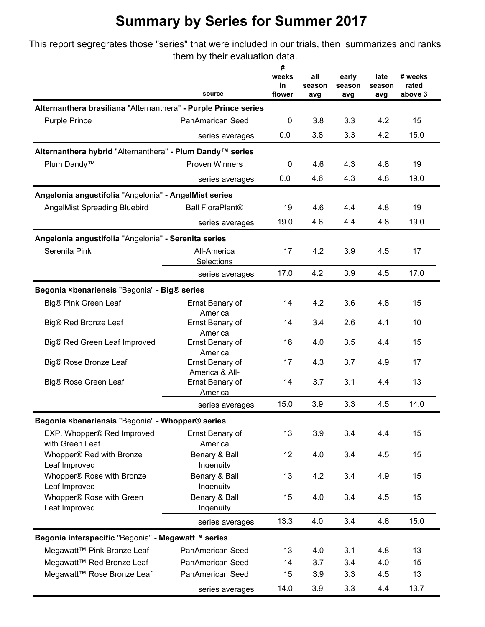This report segregrates those "series" that were included in our trials, then summarizes and ranks them by their evaluation data.

|                                                                 |                                   | #<br>weeks   | all           | early         | late          | # weeks          |
|-----------------------------------------------------------------|-----------------------------------|--------------|---------------|---------------|---------------|------------------|
|                                                                 | source                            | in<br>flower | season<br>avg | season<br>avg | season<br>avg | rated<br>above 3 |
| Alternanthera brasiliana "Alternanthera" - Purple Prince series |                                   |              |               |               |               |                  |
| <b>Purple Prince</b>                                            | PanAmerican Seed                  | 0            | 3.8           | 3.3           | 4.2           | 15               |
|                                                                 | series averages                   | 0.0          | 3.8           | 3.3           | 4.2           | 15.0             |
| Alternanthera hybrid "Alternanthera" - Plum Dandy™ series       |                                   |              |               |               |               |                  |
| Plum Dandy <sup>™</sup>                                         | <b>Proven Winners</b>             | 0            | 4.6           | 4.3           | 4.8           | 19               |
|                                                                 | series averages                   | 0.0          | 4.6           | 4.3           | 4.8           | 19.0             |
| Angelonia angustifolia "Angelonia" - AngelMist series           |                                   |              |               |               |               |                  |
| <b>AngelMist Spreading Bluebird</b>                             | <b>Ball FloraPlant®</b>           | 19           | 4.6           | 4.4           | 4.8           | 19               |
|                                                                 | series averages                   | 19.0         | 4.6           | 4.4           | 4.8           | 19.0             |
|                                                                 |                                   |              |               |               |               |                  |
| Angelonia angustifolia "Angelonia" - Serenita series            | All-America                       | 17           | 4.2           | 3.9           | 4.5           | 17               |
| Serenita Pink                                                   | Selections                        |              |               |               |               |                  |
|                                                                 | series averages                   | 17.0         | 4.2           | 3.9           | 4.5           | 17.0             |
| Begonia ×benariensis "Begonia" - Big® series                    |                                   |              |               |               |               |                  |
| Big® Pink Green Leaf                                            | Ernst Benary of                   | 14           | 4.2           | 3.6           | 4.8           | 15               |
|                                                                 | America                           |              |               |               |               |                  |
| Big® Red Bronze Leaf                                            | Ernst Benary of<br>America        | 14           | 3.4           | 2.6           | 4.1           | 10               |
| Big® Red Green Leaf Improved                                    | Ernst Benary of                   | 16           | 4.0           | 3.5           | 4.4           | 15               |
|                                                                 | America                           |              |               |               |               |                  |
| Big® Rose Bronze Leaf                                           | Ernst Benary of<br>America & All- | 17           | 4.3           | 3.7           | 4.9           | 17               |
| Big® Rose Green Leaf                                            | Ernst Benary of                   | 14           | 3.7           | 3.1           | 4.4           | 13               |
|                                                                 | America                           |              |               |               |               |                  |
|                                                                 | series averages                   | 15.0         | 3.9           | 3.3           | 4.5           | 14.0             |
| Begonia ×benariensis "Begonia" - Whopper® series                |                                   |              |               |               |               |                  |
| EXP. Whopper® Red Improved<br>with Green Leaf                   | Ernst Benary of<br>America        | 13           | 3.9           | 3.4           | 4.4           | 15               |
| Whopper® Red with Bronze                                        | Benary & Ball                     | 12           | 4.0           | 3.4           | 4.5           | 15               |
| Leaf Improved                                                   | Ingenuity                         |              |               |               |               |                  |
| Whopper® Rose with Bronze                                       | Benary & Ball                     | 13           | 4.2           | 3.4           | 4.9           | 15               |
| Leaf Improved<br>Whopper® Rose with Green                       | Ingenuity<br>Benary & Ball        | 15           | 4.0           | 3.4           | 4.5           | 15               |
| Leaf Improved                                                   | Ingenuity                         |              |               |               |               |                  |
|                                                                 | series averages                   | 13.3         | 4.0           | 3.4           | 4.6           | 15.0             |
| Begonia interspecific "Begonia" - Megawatt™ series              |                                   |              |               |               |               |                  |
| Megawatt™ Pink Bronze Leaf                                      | PanAmerican Seed                  | 13           | 4.0           | 3.1           | 4.8           | 13               |
| Megawatt™ Red Bronze Leaf                                       | PanAmerican Seed                  | 14           | 3.7           | 3.4           | 4.0           | 15               |
| Megawatt™ Rose Bronze Leaf                                      | PanAmerican Seed                  | 15           | 3.9           | 3.3           | 4.5           | 13               |
|                                                                 | series averages                   | 14.0         | 3.9           | 3.3           | 4.4           | 13.7             |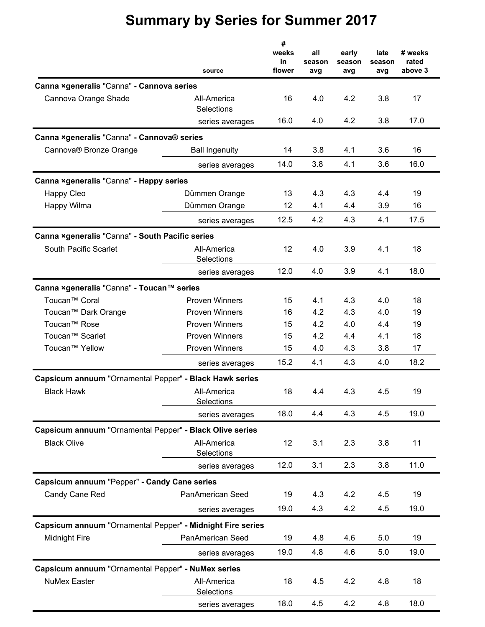|                                                            | source                    | #<br>weeks<br>in<br>flower | all<br>season<br>avg | early<br>season<br>avg | late<br>season<br>avg | # weeks<br>rated<br>above 3 |
|------------------------------------------------------------|---------------------------|----------------------------|----------------------|------------------------|-----------------------|-----------------------------|
| Canna ×generalis "Canna" - Cannova series                  |                           |                            |                      |                        |                       |                             |
| Cannova Orange Shade                                       | All-America<br>Selections | 16                         | 4.0                  | 4.2                    | 3.8                   | 17                          |
|                                                            | series averages           | 16.0                       | 4.0                  | 4.2                    | 3.8                   | 17.0                        |
| Canna ×generalis "Canna" - Cannova® series                 |                           |                            |                      |                        |                       |                             |
| Cannova® Bronze Orange                                     | <b>Ball Ingenuity</b>     | 14                         | 3.8                  | 4.1                    | 3.6                   | 16                          |
|                                                            | series averages           | 14.0                       | 3.8                  | 4.1                    | 3.6                   | 16.0                        |
| Canna ×generalis "Canna" - Happy series                    |                           |                            |                      |                        |                       |                             |
| Happy Cleo                                                 | Dümmen Orange             | 13                         | 4.3                  | 4.3                    | 4.4                   | 19                          |
| Happy Wilma                                                | Dümmen Orange             | 12                         | 4.1                  | 4.4                    | 3.9                   | 16                          |
|                                                            | series averages           | 12.5                       | 4.2                  | 4.3                    | 4.1                   | 17.5                        |
| Canna ×generalis "Canna" - South Pacific series            |                           |                            |                      |                        |                       |                             |
| South Pacific Scarlet                                      | All-America<br>Selections | 12                         | 4.0                  | 3.9                    | 4.1                   | 18                          |
|                                                            | series averages           | 12.0                       | 4.0                  | 3.9                    | 4.1                   | 18.0                        |
| Canna ×generalis "Canna" - Toucan™ series                  |                           |                            |                      |                        |                       |                             |
| Toucan <sup>™</sup> Coral                                  | <b>Proven Winners</b>     | 15                         | 4.1                  | 4.3                    | 4.0                   | 18                          |
| Toucan™ Dark Orange                                        | <b>Proven Winners</b>     | 16                         | 4.2                  | 4.3                    | 4.0                   | 19                          |
| Toucan <sup>™</sup> Rose                                   | <b>Proven Winners</b>     | 15                         | 4.2                  | 4.0                    | 4.4                   | 19                          |
| Toucan <sup>™</sup> Scarlet                                | <b>Proven Winners</b>     | 15                         | 4.2                  | 4.4                    | 4.1                   | 18                          |
| Toucan <sup>™</sup> Yellow                                 | Proven Winners            | 15                         | 4.0                  | 4.3                    | 3.8                   | 17                          |
|                                                            | series averages           | 15.2                       | 4.1                  | 4.3                    | 4.0                   | 18.2                        |
| Capsicum annuum "Ornamental Pepper" - Black Hawk series    |                           |                            |                      |                        |                       |                             |
| <b>Black Hawk</b>                                          | All-America<br>Selections | 18                         | 4.4                  | 4.3                    | 4.5                   | 19                          |
|                                                            | series averages           | 18.0                       | 4.4                  | 4.3                    | 4.5                   | 19.0                        |
| Capsicum annuum "Ornamental Pepper" - Black Olive series   |                           |                            |                      |                        |                       |                             |
| <b>Black Olive</b>                                         | All-America<br>Selections | 12                         | 3.1                  | 2.3                    | 3.8                   | 11                          |
|                                                            | series averages           | 12.0                       | 3.1                  | 2.3                    | 3.8                   | 11.0                        |
| Capsicum annuum "Pepper" - Candy Cane series               |                           |                            |                      |                        |                       |                             |
| Candy Cane Red                                             | PanAmerican Seed          | 19                         | 4.3                  | 4.2                    | 4.5                   | 19                          |
|                                                            | series averages           | 19.0                       | 4.3                  | 4.2                    | 4.5                   | 19.0                        |
| Capsicum annuum "Ornamental Pepper" - Midnight Fire series |                           |                            |                      |                        |                       |                             |
| <b>Midnight Fire</b>                                       | PanAmerican Seed          | 19                         | 4.8                  | 4.6                    | 5.0                   | 19                          |
|                                                            | series averages           | 19.0                       | 4.8                  | 4.6                    | 5.0                   | 19.0                        |
| Capsicum annuum "Ornamental Pepper" - NuMex series         |                           |                            |                      |                        |                       |                             |
| <b>NuMex Easter</b>                                        | All-America<br>Selections | 18                         | 4.5                  | 4.2                    | 4.8                   | 18                          |
|                                                            | series averages           | 18.0                       | 4.5                  | 4.2                    | 4.8                   | 18.0                        |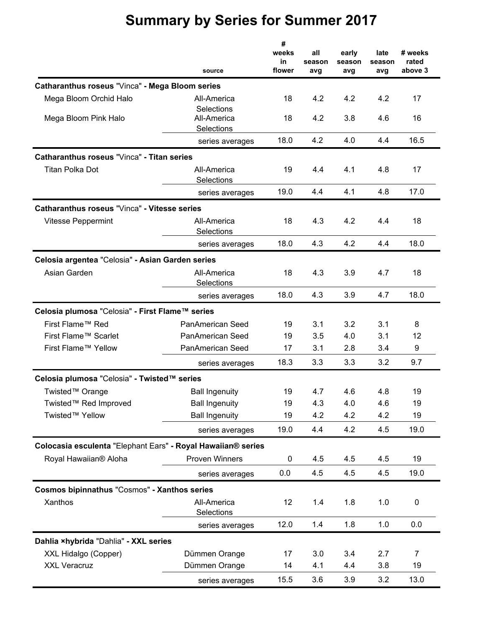|                                                              | source                           | #<br>weeks<br>in<br>flower | all<br>season<br>avg | early<br>season<br>avg | late<br>season<br>avg | # weeks<br>rated<br>above 3 |
|--------------------------------------------------------------|----------------------------------|----------------------------|----------------------|------------------------|-----------------------|-----------------------------|
| Catharanthus roseus "Vinca" - Mega Bloom series              |                                  |                            |                      |                        |                       |                             |
| Mega Bloom Orchid Halo                                       | All-America                      | 18                         | 4.2                  | 4.2                    | 4.2                   | 17                          |
| Mega Bloom Pink Halo                                         | <b>Selections</b><br>All-America | 18                         | 4.2                  | 3.8                    | 4.6                   | 16                          |
|                                                              | Selections                       | 18.0                       | 4.2                  | 4.0                    | 4.4                   | 16.5                        |
|                                                              | series averages                  |                            |                      |                        |                       |                             |
| Catharanthus roseus "Vinca" - Titan series                   |                                  |                            |                      |                        |                       |                             |
| Titan Polka Dot                                              | All-America<br>Selections        | 19                         | 4.4                  | 4.1                    | 4.8                   | 17                          |
|                                                              | series averages                  | 19.0                       | 4.4                  | 4.1                    | 4.8                   | 17.0                        |
| Catharanthus roseus "Vinca" - Vitesse series                 |                                  |                            |                      |                        |                       |                             |
| <b>Vitesse Peppermint</b>                                    | All-America<br>Selections        | 18                         | 4.3                  | 4.2                    | 4.4                   | 18                          |
|                                                              | series averages                  | 18.0                       | 4.3                  | 4.2                    | 4.4                   | 18.0                        |
| Celosia argentea "Celosia" - Asian Garden series             |                                  |                            |                      |                        |                       |                             |
| Asian Garden                                                 | All-America<br>Selections        | 18                         | 4.3                  | 3.9                    | 4.7                   | 18                          |
|                                                              | series averages                  | 18.0                       | 4.3                  | 3.9                    | 4.7                   | 18.0                        |
| Celosia plumosa "Celosia" - First Flame™ series              |                                  |                            |                      |                        |                       |                             |
| First Flame™ Red                                             | PanAmerican Seed                 | 19                         | 3.1                  | 3.2                    | 3.1                   | 8                           |
| First Flame™ Scarlet                                         | <b>PanAmerican Seed</b>          | 19                         | 3.5                  | 4.0                    | 3.1                   | 12                          |
| First Flame™ Yellow                                          | PanAmerican Seed                 | 17                         | 3.1                  | 2.8                    | 3.4                   | 9                           |
|                                                              | series averages                  | 18.3                       | 3.3                  | 3.3                    | 3.2                   | 9.7                         |
| Celosia plumosa "Celosia" - Twisted™ series                  |                                  |                            |                      |                        |                       |                             |
| Twisted™ Orange                                              | <b>Ball Ingenuity</b>            | 19                         | 4.7                  | 4.6                    | 4.8                   | 19                          |
| Twisted™ Red Improved                                        | <b>Ball Ingenuity</b>            | 19                         | 4.3                  | 4.0                    | 4.6                   | 19                          |
| Twisted™ Yellow                                              | <b>Ball Ingenuity</b>            | 19                         | 4.2                  | 4.2                    | 4.2                   | 19                          |
|                                                              | series averages                  | 19.0                       | 4.4                  | 4.2                    | 4.5                   | 19.0                        |
| Colocasia esculenta "Elephant Ears" - Royal Hawaiian® series |                                  |                            |                      |                        |                       |                             |
| Royal Hawaiian® Aloha                                        | Proven Winners                   | 0                          | 4.5                  | 4.5                    | 4.5                   | 19                          |
|                                                              | series averages                  | 0.0                        | 4.5                  | 4.5                    | 4.5                   | 19.0                        |
| Cosmos bipinnathus "Cosmos" - Xanthos series                 |                                  |                            |                      |                        |                       |                             |
| Xanthos                                                      | All-America                      | 12                         | 1.4                  | 1.8                    | 1.0                   | $\pmb{0}$                   |
|                                                              | Selections                       |                            |                      |                        |                       |                             |
|                                                              | series averages                  | 12.0                       | 1.4                  | 1.8                    | 1.0                   | 0.0                         |
| Dahlia xhybrida "Dahlia" - XXL series                        |                                  |                            |                      |                        |                       |                             |
| XXL Hidalgo (Copper)                                         | Dümmen Orange                    | 17                         | 3.0                  | 3.4                    | 2.7                   | $\overline{7}$              |
| <b>XXL Veracruz</b>                                          | Dümmen Orange                    | 14                         | 4.1                  | 4.4                    | 3.8                   | 19                          |
|                                                              | series averages                  | 15.5                       | 3.6                  | 3.9                    | 3.2                   | 13.0                        |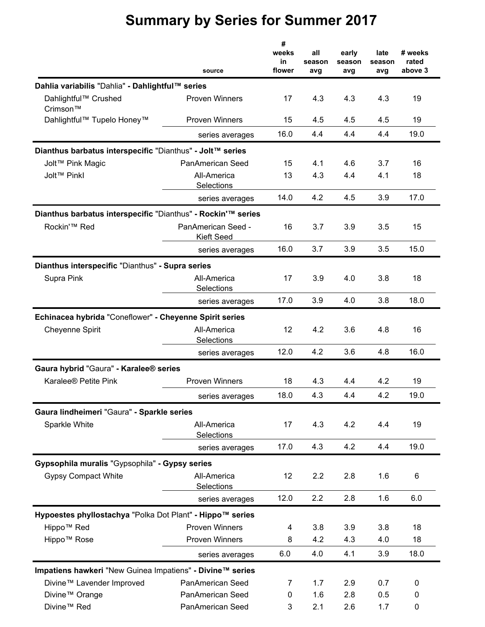|                                                              | source                                  | #<br>weeks<br>in<br>flower | all<br>season<br>avg | early<br>season<br>avg | late<br>season<br>avg | # weeks<br>rated<br>above 3 |
|--------------------------------------------------------------|-----------------------------------------|----------------------------|----------------------|------------------------|-----------------------|-----------------------------|
| Dahlia variabilis "Dahlia" - Dahlightful™ series             |                                         |                            |                      |                        |                       |                             |
| Dahlightful™ Crushed<br>Crimson™                             | <b>Proven Winners</b>                   | 17                         | 4.3                  | 4.3                    | 4.3                   | 19                          |
| Dahlightful <sup>™</sup> Tupelo Honey <sup>™</sup>           | <b>Proven Winners</b>                   | 15                         | 4.5                  | 4.5                    | 4.5                   | 19                          |
|                                                              | series averages                         | 16.0                       | 4.4                  | 4.4                    | 4.4                   | 19.0                        |
| Dianthus barbatus interspecific "Dianthus" - Jolt™ series    |                                         |                            |                      |                        |                       |                             |
| Jolt™ Pink Magic                                             | <b>PanAmerican Seed</b>                 | 15                         | 4.1                  | 4.6                    | 3.7                   | 16                          |
| Jolt™ Pinkl                                                  | All-America<br>Selections               | 13                         | 4.3                  | 4.4                    | 4.1                   | 18                          |
|                                                              | series averages                         | 14.0                       | 4.2                  | 4.5                    | 3.9                   | 17.0                        |
| Dianthus barbatus interspecific "Dianthus" - Rockin'™ series |                                         |                            |                      |                        |                       |                             |
| Rockin'™ Red                                                 | PanAmerican Seed -<br><b>Kieft Seed</b> | 16                         | 3.7                  | 3.9                    | 3.5                   | 15                          |
|                                                              | series averages                         | 16.0                       | 3.7                  | 3.9                    | 3.5                   | 15.0                        |
| Dianthus interspecific "Dianthus" - Supra series             |                                         |                            |                      |                        |                       |                             |
| Supra Pink                                                   | All-America<br>Selections               | 17                         | 3.9                  | 4.0                    | 3.8                   | 18                          |
|                                                              | series averages                         | 17.0                       | 3.9                  | 4.0                    | 3.8                   | 18.0                        |
| Echinacea hybrida "Coneflower" - Cheyenne Spirit series      |                                         |                            |                      |                        |                       |                             |
| <b>Cheyenne Spirit</b>                                       | All-America<br>Selections               | 12                         | 4.2                  | 3.6                    | 4.8                   | 16                          |
|                                                              | series averages                         | 12.0                       | 4.2                  | 3.6                    | 4.8                   | 16.0                        |
| Gaura hybrid "Gaura" - Karalee® series                       |                                         |                            |                      |                        |                       |                             |
| Karalee <sup>®</sup> Petite Pink                             | <b>Proven Winners</b>                   | 18                         | 4.3                  | 4.4                    | 4.2                   | 19                          |
|                                                              | series averages                         | 18.0                       | 4.3                  | 4.4                    | 4.2                   | 19.0                        |
| Gaura lindheimeri "Gaura" - Sparkle series                   |                                         |                            |                      |                        |                       |                             |
| Sparkle White                                                | All-America<br>Selections               | 17                         | 4.3                  | 4.2                    | 4.4                   | 19                          |
|                                                              | series averages                         | 17.0                       | 4.3                  | 4.2                    | 4.4                   | 19.0                        |
| Gypsophila muralis "Gypsophila" - Gypsy series               |                                         |                            |                      |                        |                       |                             |
| <b>Gypsy Compact White</b>                                   | All-America<br>Selections               | 12                         | 2.2                  | 2.8                    | 1.6                   | 6                           |
|                                                              | series averages                         | 12.0                       | 2.2                  | 2.8                    | 1.6                   | 6.0                         |
| Hypoestes phyllostachya "Polka Dot Plant" - Hippo™ series    |                                         |                            |                      |                        |                       |                             |
| Hippo <sup>™</sup> Red                                       | <b>Proven Winners</b>                   | 4                          | 3.8                  | 3.9                    | 3.8                   | 18                          |
| Hippo <sup>™</sup> Rose                                      | <b>Proven Winners</b>                   | 8                          | 4.2                  | 4.3                    | 4.0                   | 18                          |
|                                                              | series averages                         | 6.0                        | 4.0                  | 4.1                    | 3.9                   | 18.0                        |
| Impatiens hawkeri "New Guinea Impatiens" - Divine™ series    |                                         |                            |                      |                        |                       |                             |
| Divine™ Lavender Improved                                    | PanAmerican Seed                        | 7                          | 1.7                  | 2.9                    | 0.7                   | 0                           |
| Divine™ Orange                                               | PanAmerican Seed                        | 0                          | 1.6                  | 2.8                    | 0.5                   | 0                           |
| Divine <sup>™</sup> Red                                      | PanAmerican Seed                        | 3                          | 2.1                  | 2.6                    | 1.7                   | 0                           |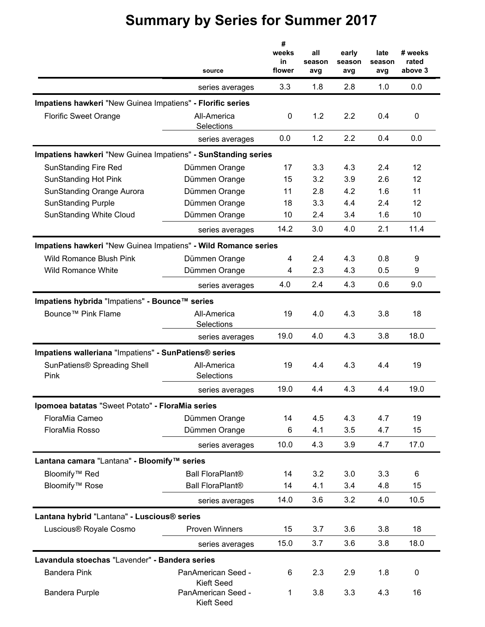|                                                                | source                           | #<br>weeks<br>in<br>flower | all<br>season<br>avg | early<br>season<br>avg | late<br>season<br>avg | # weeks<br>rated<br>above 3 |
|----------------------------------------------------------------|----------------------------------|----------------------------|----------------------|------------------------|-----------------------|-----------------------------|
|                                                                | series averages                  | 3.3                        | 1.8                  | 2.8                    | 1.0                   | 0.0                         |
| Impatiens hawkeri "New Guinea Impatiens" - Florific series     |                                  |                            |                      |                        |                       |                             |
| <b>Florific Sweet Orange</b>                                   | All-America<br>Selections        | 0                          | 1.2                  | 2.2                    | 0.4                   | 0                           |
|                                                                | series averages                  | 0.0                        | 1.2                  | 2.2                    | 0.4                   | 0.0                         |
| Impatiens hawkeri "New Guinea Impatiens" - SunStanding series  |                                  |                            |                      |                        |                       |                             |
| <b>SunStanding Fire Red</b>                                    | Dümmen Orange                    | 17                         | 3.3                  | 4.3                    | 2.4                   | 12                          |
| <b>SunStanding Hot Pink</b>                                    | Dümmen Orange                    | 15                         | 3.2                  | 3.9                    | 2.6                   | 12                          |
| <b>SunStanding Orange Aurora</b>                               | Dümmen Orange                    | 11                         | 2.8                  | 4.2                    | 1.6                   | 11                          |
| <b>SunStanding Purple</b>                                      | Dümmen Orange                    | 18                         | 3.3                  | 4.4                    | 2.4                   | 12                          |
| <b>SunStanding White Cloud</b>                                 | Dümmen Orange                    | 10                         | 2.4                  | 3.4                    | 1.6                   | 10                          |
|                                                                | series averages                  | 14.2                       | 3.0                  | 4.0                    | 2.1                   | 11.4                        |
| Impatiens hawkeri "New Guinea Impatiens" - Wild Romance series |                                  |                            |                      |                        |                       |                             |
| <b>Wild Romance Blush Pink</b>                                 | Dümmen Orange                    | 4                          | 2.4                  | 4.3                    | 0.8                   | 9                           |
| <b>Wild Romance White</b>                                      | Dümmen Orange                    | 4                          | 2.3                  | 4.3                    | 0.5                   | 9                           |
|                                                                | series averages                  | 4.0                        | 2.4                  | 4.3                    | 0.6                   | 9.0                         |
| Impatiens hybrida "Impatiens" - Bounce™ series                 |                                  |                            |                      |                        |                       |                             |
| Bounce™ Pink Flame                                             | All-America                      | 19                         | 4.0                  | 4.3                    | 3.8                   | 18                          |
|                                                                | Selections                       |                            |                      |                        |                       |                             |
|                                                                | series averages                  | 19.0                       | 4.0                  | 4.3                    | 3.8                   | 18.0                        |
| Impatiens walleriana "Impatiens" - SunPatiens® series          |                                  |                            |                      |                        |                       |                             |
| SunPatiens® Spreading Shell                                    | All-America                      | 19                         | 4.4                  | 4.3                    | 4.4                   | 19                          |
| Pink                                                           | Selections                       |                            |                      |                        |                       |                             |
|                                                                | series averages                  | 19.0                       | 4.4                  | 4.3                    | 4.4                   | 19.0                        |
| Ipomoea batatas "Sweet Potato" - FloraMia series               |                                  |                            |                      |                        |                       |                             |
| FloraMia Cameo                                                 | Dümmen Orange                    | 14                         | 4.5                  | 4.3                    | 4.7                   | 19                          |
| FloraMia Rosso                                                 | Dümmen Orange                    | 6                          | 4.1                  | 3.5                    | 4.7                   | 15                          |
|                                                                | series averages                  | 10.0                       | 4.3                  | 3.9                    | 4.7                   | 17.0                        |
| Lantana camara "Lantana" - Bloomify™ series                    |                                  |                            |                      |                        |                       |                             |
| Bloomify <sup>™</sup> Red                                      | <b>Ball FloraPlant®</b>          | 14                         | 3.2                  | 3.0                    | 3.3                   | 6                           |
| Bloomify <sup>™</sup> Rose                                     | <b>Ball FloraPlant®</b>          | 14                         | 4.1                  | 3.4                    | 4.8                   | 15                          |
|                                                                | series averages                  | 14.0                       | 3.6                  | 3.2                    | 4.0                   | 10.5                        |
| Lantana hybrid "Lantana" - Luscious <sup>®</sup> series        |                                  |                            |                      |                        |                       |                             |
| Luscious® Royale Cosmo                                         | <b>Proven Winners</b>            | 15                         | 3.7                  | 3.6                    | 3.8                   | 18                          |
|                                                                | series averages                  | 15.0                       | 3.7                  | 3.6                    | 3.8                   | 18.0                        |
| Lavandula stoechas "Lavender" - Bandera series                 |                                  |                            |                      |                        |                       |                             |
| <b>Bandera Pink</b>                                            | PanAmerican Seed -               | 6                          | 2.3                  | 2.9                    | 1.8                   | 0                           |
|                                                                | Kieft Seed                       |                            |                      |                        |                       |                             |
| <b>Bandera Purple</b>                                          | PanAmerican Seed -<br>Kieft Seed | 1                          | 3.8                  | 3.3                    | 4.3                   | 16                          |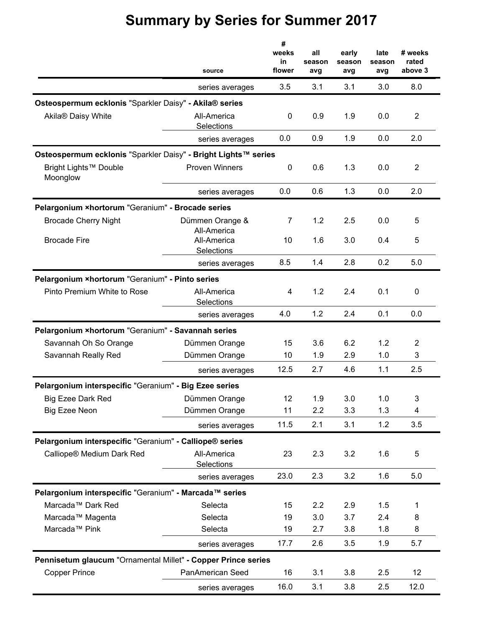|                                                                | source                         | #<br>weeks<br>in<br>flower | all<br>season<br>avg | early<br>season<br>avg | late<br>season<br>avg | # weeks<br>rated<br>above 3 |
|----------------------------------------------------------------|--------------------------------|----------------------------|----------------------|------------------------|-----------------------|-----------------------------|
|                                                                | series averages                | 3.5                        | 3.1                  | 3.1                    | 3.0                   | 8.0                         |
| Osteospermum ecklonis "Sparkler Daisy" - Akila® series         |                                |                            |                      |                        |                       |                             |
| Akila® Daisy White                                             | All-America<br>Selections      | 0                          | 0.9                  | 1.9                    | 0.0                   | $\overline{2}$              |
|                                                                | series averages                | 0.0                        | 0.9                  | 1.9                    | 0.0                   | 2.0                         |
| Osteospermum ecklonis "Sparkler Daisy" - Bright Lights™ series |                                |                            |                      |                        |                       |                             |
| Bright Lights™ Double<br>Moonglow                              | <b>Proven Winners</b>          | 0                          | 0.6                  | 1.3                    | 0.0                   | $\overline{2}$              |
|                                                                | series averages                | 0.0                        | 0.6                  | 1.3                    | 0.0                   | 2.0                         |
| Pelargonium ×hortorum "Geranium" - Brocade series              |                                |                            |                      |                        |                       |                             |
| <b>Brocade Cherry Night</b>                                    | Dümmen Orange &<br>All-America | 7                          | 1.2                  | 2.5                    | 0.0                   | 5                           |
| <b>Brocade Fire</b>                                            | All-America<br>Selections      | 10                         | 1.6                  | 3.0                    | 0.4                   | 5                           |
|                                                                | series averages                | 8.5                        | 1.4                  | 2.8                    | 0.2                   | 5.0                         |
| Pelargonium ×hortorum "Geranium" - Pinto series                |                                |                            |                      |                        |                       |                             |
| Pinto Premium White to Rose                                    | All-America<br>Selections      | 4                          | 1.2                  | 2.4                    | 0.1                   | 0                           |
|                                                                | series averages                | 4.0                        | 1.2                  | 2.4                    | 0.1                   | 0.0                         |
| Pelargonium ×hortorum "Geranium" - Savannah series             |                                |                            |                      |                        |                       |                             |
| Savannah Oh So Orange                                          | Dümmen Orange                  | 15                         | 3.6                  | 6.2                    | 1.2                   | $\overline{2}$              |
| Savannah Really Red                                            | Dümmen Orange                  | 10                         | 1.9                  | 2.9                    | 1.0                   | 3                           |
|                                                                | series averages                | 12.5                       | 2.7                  | 4.6                    | 1.1                   | 2.5                         |
| Pelargonium interspecific "Geranium" - Big Ezee series         |                                |                            |                      |                        |                       |                             |
| Big Ezee Dark Red                                              | Dümmen Orange                  | 12                         | 1.9                  | 3.0                    | 1.0                   | 3                           |
| Big Ezee Neon                                                  | Dümmen Orange                  | 11                         | 2.2                  | 3.3                    | 1.3                   | 4                           |
|                                                                | series averages                | 11.5                       | 2.1                  | 3.1                    | 1.2                   | 3.5                         |
| Pelargonium interspecific "Geranium" - Calliope® series        |                                |                            |                      |                        |                       |                             |
| Calliope® Medium Dark Red                                      | All-America<br>Selections      | 23                         | 2.3                  | 3.2                    | 1.6                   | 5                           |
|                                                                | series averages                | 23.0                       | 2.3                  | 3.2                    | 1.6                   | 5.0                         |
| Pelargonium interspecific "Geranium" - Marcada™ series         |                                |                            |                      |                        |                       |                             |
| Marcada <sup>™</sup> Dark Red                                  | Selecta                        | 15                         | 2.2                  | 2.9                    | 1.5                   | 1                           |
| Marcada™ Magenta                                               | Selecta                        | 19                         | 3.0                  | 3.7                    | 2.4                   | 8                           |
| Marcada <sup>™</sup> Pink                                      | Selecta                        | 19                         | 2.7                  | 3.8                    | 1.8                   | 8                           |
|                                                                | series averages                | 17.7                       | 2.6                  | 3.5                    | 1.9                   | 5.7                         |
| Pennisetum glaucum "Ornamental Millet" - Copper Prince series  |                                |                            |                      |                        |                       |                             |
| <b>Copper Prince</b>                                           | PanAmerican Seed               | 16                         | 3.1                  | 3.8                    | 2.5                   | 12                          |
|                                                                | series averages                | 16.0                       | 3.1                  | 3.8                    | 2.5                   | 12.0                        |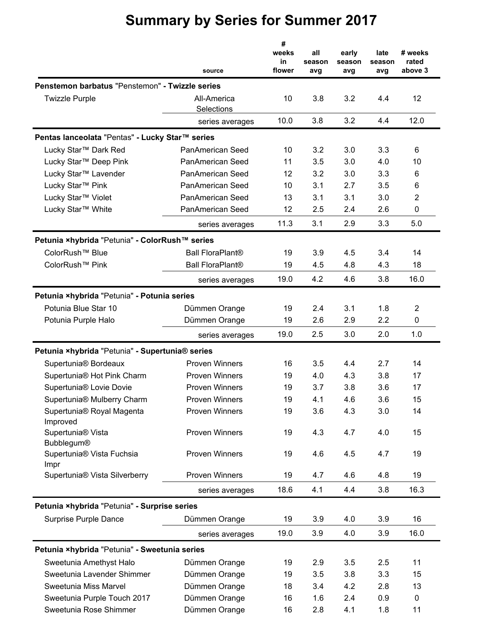|                                                    |                           | #<br>weeks<br>in | all<br>season | early<br>season | late<br>season | # weeks<br>rated |
|----------------------------------------------------|---------------------------|------------------|---------------|-----------------|----------------|------------------|
|                                                    | source                    | flower           | avg           | avg             | avg            | above 3          |
| Penstemon barbatus "Penstemon" - Twizzle series    |                           |                  |               |                 |                |                  |
| <b>Twizzle Purple</b>                              | All-America<br>Selections | 10               | 3.8           | 3.2             | 4.4            | 12               |
|                                                    | series averages           | 10.0             | 3.8           | 3.2             | 4.4            | 12.0             |
| Pentas lanceolata "Pentas" - Lucky Star™ series    |                           |                  |               |                 |                |                  |
| Lucky Star™ Dark Red                               | PanAmerican Seed          | 10               | 3.2           | 3.0             | 3.3            | 6                |
| Lucky Star™ Deep Pink                              | PanAmerican Seed          | 11               | 3.5           | 3.0             | 4.0            | 10               |
| Lucky Star™ Lavender                               | PanAmerican Seed          | 12               | 3.2           | 3.0             | 3.3            | 6                |
| Lucky Star™ Pink                                   | PanAmerican Seed          | 10               | 3.1           | 2.7             | 3.5            | 6                |
| Lucky Star™ Violet                                 | PanAmerican Seed          | 13               | 3.1           | 3.1             | 3.0            | $\overline{2}$   |
| Lucky Star™ White                                  | PanAmerican Seed          | 12               | 2.5           | 2.4             | 2.6            | 0                |
|                                                    | series averages           | 11.3             | 3.1           | 2.9             | 3.3            | 5.0              |
| Petunia ×hybrida "Petunia" - ColorRush™ series     |                           |                  |               |                 |                |                  |
| ColorRush <sup>™</sup> Blue                        | <b>Ball FloraPlant®</b>   | 19               | 3.9           | 4.5             | 3.4            | 14               |
| ColorRush <sup>™</sup> Pink                        | <b>Ball FloraPlant®</b>   | 19               | 4.5           | 4.8             | 4.3            | 18               |
|                                                    | series averages           | 19.0             | 4.2           | 4.6             | 3.8            | 16.0             |
| Petunia ×hybrida "Petunia" - Potunia series        |                           |                  |               |                 |                |                  |
| Potunia Blue Star 10                               | Dümmen Orange             | 19               | 2.4           | 3.1             | 1.8            | $\overline{2}$   |
| Potunia Purple Halo                                | Dümmen Orange             | 19               | 2.6           | 2.9             | 2.2            | 0                |
|                                                    | series averages           | 19.0             | 2.5           | 3.0             | 2.0            | 1.0              |
| Petunia ×hybrida "Petunia" - Supertunia® series    |                           |                  |               |                 |                |                  |
| Supertunia <sup>®</sup> Bordeaux                   | <b>Proven Winners</b>     | 16               | 3.5           | 4.4             | 2.7            | 14               |
| Supertunia® Hot Pink Charm                         | <b>Proven Winners</b>     | 19               | 4.0           | 4.3             | 3.8            | 17               |
| Supertunia® Lovie Dovie                            | <b>Proven Winners</b>     | 19               | 3.7           | 3.8             | 3.6            | 17               |
| Supertunia® Mulberry Charm                         | <b>Proven Winners</b>     | 19               | 4.1           | 4.6             | 3.6            | 15               |
| Supertunia® Royal Magenta<br>Improved              | <b>Proven Winners</b>     | 19               | 3.6           | 4.3             | 3.0            | 14               |
| Supertunia <sup>®</sup> Vista<br><b>Bubblegum®</b> | <b>Proven Winners</b>     | 19               | 4.3           | 4.7             | 4.0            | 15               |
| Supertunia® Vista Fuchsia<br>Impr                  | <b>Proven Winners</b>     | 19               | 4.6           | 4.5             | 4.7            | 19               |
| Supertunia® Vista Silverberry                      | <b>Proven Winners</b>     | 19               | 4.7           | 4.6             | 4.8            | 19               |
|                                                    | series averages           | 18.6             | 4.1           | 4.4             | 3.8            | 16.3             |
| Petunia ×hybrida "Petunia" - Surprise series       |                           |                  |               |                 |                |                  |
| Surprise Purple Dance                              | Dümmen Orange             | 19               | 3.9           | 4.0             | 3.9            | 16               |
|                                                    | series averages           | 19.0             | 3.9           | 4.0             | 3.9            | 16.0             |
| Petunia ×hybrida "Petunia" - Sweetunia series      |                           |                  |               |                 |                |                  |
| Sweetunia Amethyst Halo                            | Dümmen Orange             | 19               | 2.9           | 3.5             | 2.5            | 11               |
| Sweetunia Lavender Shimmer                         | Dümmen Orange             | 19               | 3.5           | 3.8             | 3.3            | 15               |
| Sweetunia Miss Marvel                              | Dümmen Orange             | 18               | 3.4           | 4.2             | 2.8            | 13               |
| Sweetunia Purple Touch 2017                        | Dümmen Orange             | 16               | 1.6           | 2.4             | 0.9            | 0                |
| Sweetunia Rose Shimmer                             | Dümmen Orange             | 16               | 2.8           | 4.1             | 1.8            | 11               |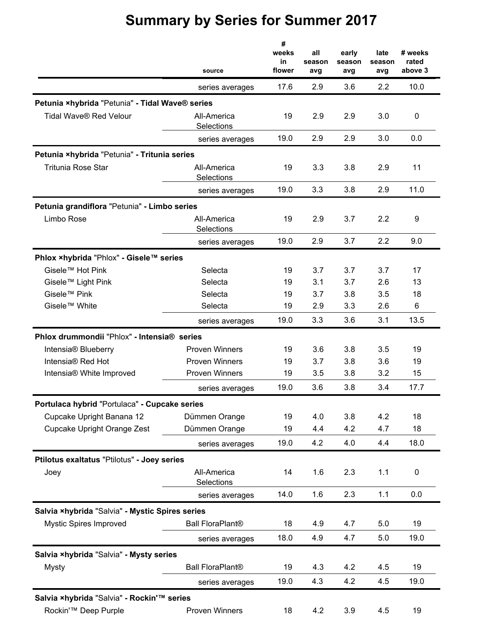|                                                 | source                    | #<br>weeks<br>in<br>flower | all<br>season<br>avg | early<br>season<br>avg | late<br>season<br>avg | # weeks<br>rated<br>above 3 |
|-------------------------------------------------|---------------------------|----------------------------|----------------------|------------------------|-----------------------|-----------------------------|
|                                                 | series averages           | 17.6                       | 2.9                  | 3.6                    | 2.2                   | 10.0                        |
| Petunia ×hybrida "Petunia" - Tidal Wave® series |                           |                            |                      |                        |                       |                             |
| Tidal Wave® Red Velour                          | All-America<br>Selections | 19                         | 2.9                  | 2.9                    | 3.0                   | 0                           |
|                                                 | series averages           | 19.0                       | 2.9                  | 2.9                    | 3.0                   | 0.0                         |
| Petunia ×hybrida "Petunia" - Tritunia series    |                           |                            |                      |                        |                       |                             |
| <b>Tritunia Rose Star</b>                       | All-America<br>Selections | 19                         | 3.3                  | 3.8                    | 2.9                   | 11                          |
|                                                 | series averages           | 19.0                       | 3.3                  | 3.8                    | 2.9                   | 11.0                        |
| Petunia grandiflora "Petunia" - Limbo series    |                           |                            |                      |                        |                       |                             |
| Limbo Rose                                      | All-America<br>Selections | 19                         | 2.9                  | 3.7                    | 2.2                   | 9                           |
|                                                 | series averages           | 19.0                       | 2.9                  | 3.7                    | 2.2                   | 9.0                         |
| Phlox ×hybrida "Phlox" - Gisele™ series         |                           |                            |                      |                        |                       |                             |
| Gisele™ Hot Pink                                | Selecta                   | 19                         | 3.7                  | 3.7                    | 3.7                   | 17                          |
| Gisele™ Light Pink                              | Selecta                   | 19                         | 3.1                  | 3.7                    | 2.6                   | 13                          |
| Gisele <sup>™</sup> Pink                        | Selecta                   | 19                         | 3.7                  | 3.8                    | 3.5                   | 18                          |
| Gisele™ White                                   | Selecta                   | 19                         | 2.9                  | 3.3                    | 2.6                   | 6                           |
|                                                 | series averages           | 19.0                       | 3.3                  | 3.6                    | 3.1                   | 13.5                        |
| Phlox drummondii "Phlox" - Intensia® series     |                           |                            |                      |                        |                       |                             |
| Intensia <sup>®</sup> Blueberry                 | <b>Proven Winners</b>     | 19                         | 3.6                  | 3.8                    | 3.5                   | 19                          |
| Intensia® Red Hot                               | <b>Proven Winners</b>     | 19                         | 3.7                  | 3.8                    | 3.6                   | 19                          |
| Intensia® White Improved                        | <b>Proven Winners</b>     | 19                         | 3.5                  | 3.8                    | 3.2                   | 15                          |
|                                                 | series averages           | 19.0                       | 3.6                  | 3.8                    | 3.4                   | 17.7                        |
| Portulaca hybrid "Portulaca" - Cupcake series   |                           |                            |                      |                        |                       |                             |
| Cupcake Upright Banana 12                       | Dümmen Orange             | 19                         | 4.0                  | 3.8                    | 4.2                   | 18                          |
| Cupcake Upright Orange Zest                     | Dümmen Orange             | 19                         | 4.4                  | 4.2                    | 4.7                   | 18                          |
|                                                 | series averages           | 19.0                       | 4.2                  | 4.0                    | 4.4                   | 18.0                        |
| Ptilotus exaltatus "Ptilotus" - Joey series     |                           |                            |                      |                        |                       |                             |
| Joey                                            | All-America<br>Selections | 14                         | 1.6                  | 2.3                    | 1.1                   | $\pmb{0}$                   |
|                                                 | series averages           | 14.0                       | 1.6                  | 2.3                    | 1.1                   | 0.0                         |
| Salvia xhybrida "Salvia" - Mystic Spires series |                           |                            |                      |                        |                       |                             |
| <b>Mystic Spires Improved</b>                   | <b>Ball FloraPlant®</b>   | 18                         | 4.9                  | 4.7                    | 5.0                   | 19                          |
|                                                 | series averages           | 18.0                       | 4.9                  | 4.7                    | 5.0                   | 19.0                        |
| Salvia ×hybrida "Salvia" - Mysty series         |                           |                            |                      |                        |                       |                             |
| Mysty                                           | <b>Ball FloraPlant®</b>   | 19                         | 4.3                  | 4.2                    | 4.5                   | 19                          |
|                                                 | series averages           | 19.0                       | 4.3                  | 4.2                    | 4.5                   | 19.0                        |
| Salvia ×hybrida "Salvia" - Rockin'™ series      |                           |                            |                      |                        |                       |                             |
| Rockin'™ Deep Purple                            | Proven Winners            | 18                         | 4.2                  | 3.9                    | 4.5                   | 19                          |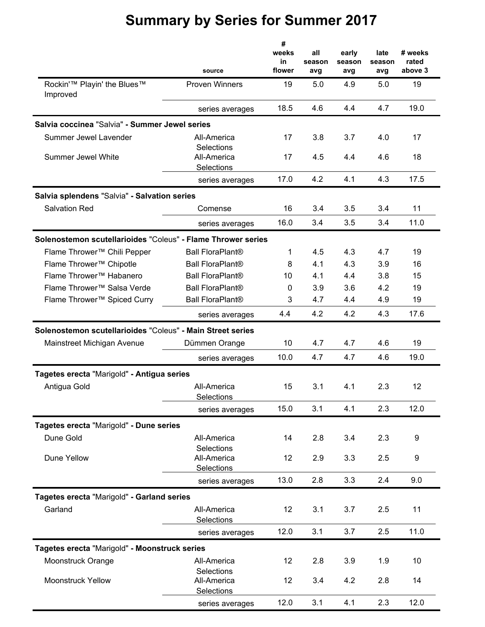|                                                                 |                                         | #<br>weeks<br>in | all<br>season | early<br>season | late<br>season | # weeks<br>rated |
|-----------------------------------------------------------------|-----------------------------------------|------------------|---------------|-----------------|----------------|------------------|
|                                                                 | source                                  | flower           | avg           | avg             | avg            | above 3          |
| Rockin' <sup>™</sup> Playin' the Blues <sup>™</sup><br>Improved | <b>Proven Winners</b>                   | 19               | 5.0           | 4.9             | 5.0            | 19               |
|                                                                 | series averages                         | 18.5             | 4.6           | 4.4             | 4.7            | 19.0             |
| Salvia coccinea "Salvia" - Summer Jewel series                  |                                         |                  |               |                 |                |                  |
| Summer Jewel Lavender                                           | All-America                             | 17               | 3.8           | 3.7             | 4.0            | 17               |
| Summer Jewel White                                              | Selections<br>All-America<br>Selections | 17               | 4.5           | 4.4             | 4.6            | 18               |
|                                                                 | series averages                         | 17.0             | 4.2           | 4.1             | 4.3            | 17.5             |
| Salvia splendens "Salvia" - Salvation series                    |                                         |                  |               |                 |                |                  |
| <b>Salvation Red</b>                                            | Comense                                 | 16               | 3.4           | 3.5             | 3.4            | 11               |
|                                                                 | series averages                         | 16.0             | 3.4           | 3.5             | 3.4            | 11.0             |
| Solenostemon scutellarioides "Coleus" - Flame Thrower series    |                                         |                  |               |                 |                |                  |
| Flame Thrower™ Chili Pepper                                     | <b>Ball FloraPlant®</b>                 | 1                | 4.5           | 4.3             | 4.7            | 19               |
| Flame Thrower™ Chipotle                                         | <b>Ball FloraPlant®</b>                 | 8                | 4.1           | 4.3             | 3.9            | 16               |
| Flame Thrower™ Habanero                                         | <b>Ball FloraPlant®</b>                 | 10               | 4.1           | 4.4             | 3.8            | 15               |
| Flame Thrower™ Salsa Verde                                      | <b>Ball FloraPlant®</b>                 | $\mathbf 0$      | 3.9           | 3.6             | 4.2            | 19               |
| Flame Thrower™ Spiced Curry                                     | <b>Ball FloraPlant®</b>                 | 3                | 4.7           | 4.4             | 4.9            | 19               |
|                                                                 | series averages                         | 4.4              | 4.2           | 4.2             | 4.3            | 17.6             |
| Solenostemon scutellarioides "Coleus" - Main Street series      |                                         |                  |               |                 |                |                  |
| Mainstreet Michigan Avenue                                      | Dümmen Orange                           | 10               | 4.7           | 4.7             | 4.6            | 19               |
|                                                                 | series averages                         | 10.0             | 4.7           | 4.7             | 4.6            | 19.0             |
| Tagetes erecta "Marigold" - Antigua series                      |                                         |                  |               |                 |                |                  |
| Antigua Gold                                                    | All-America                             | 15               | 3.1           | 4.1             | 2.3            | 12               |
|                                                                 | Selections                              |                  |               |                 |                |                  |
|                                                                 | series averages                         | 15.0             | 3.1           | 4.1             | 2.3            | 12.0             |
| Tagetes erecta "Marigold" - Dune series                         |                                         |                  |               |                 |                |                  |
| Dune Gold                                                       | All-America                             | 14               | 2.8           | 3.4             | 2.3            | 9                |
|                                                                 | Selections                              |                  |               |                 |                |                  |
| Dune Yellow                                                     | All-America                             | 12               | 2.9           | 3.3             | 2.5            | 9                |
|                                                                 | Selections<br>series averages           | 13.0             | 2.8           | 3.3             | 2.4            | 9.0              |
|                                                                 |                                         |                  |               |                 |                |                  |
| Tagetes erecta "Marigold" - Garland series<br>Garland           | All-America                             | 12               |               |                 |                |                  |
|                                                                 | Selections                              |                  | 3.1           | 3.7             | 2.5            | 11               |
|                                                                 | series averages                         | 12.0             | 3.1           | 3.7             | 2.5            | 11.0             |
| Tagetes erecta "Marigold" - Moonstruck series                   |                                         |                  |               |                 |                |                  |
| Moonstruck Orange                                               | All-America                             | 12               | 2.8           | 3.9             | 1.9            | 10               |
|                                                                 | Selections                              |                  |               |                 |                |                  |
| <b>Moonstruck Yellow</b>                                        | All-America<br>Selections               | 12               | 3.4           | 4.2             | 2.8            | 14               |
|                                                                 | series averages                         | 12.0             | 3.1           | 4.1             | 2.3            | 12.0             |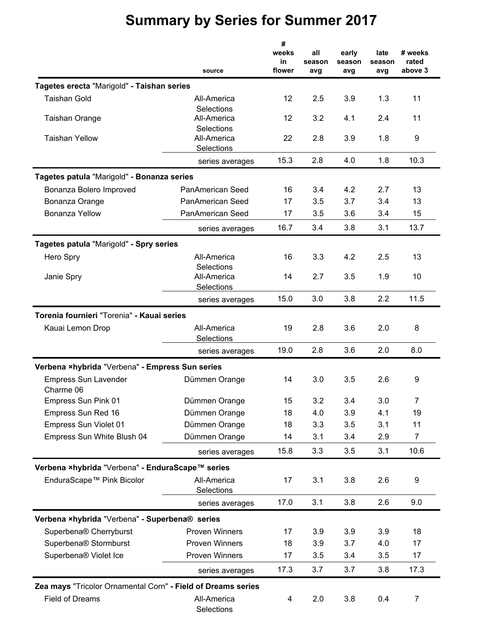|                                                              | source                    | #<br>weeks<br>in<br>flower | all<br>season<br>avg | early<br>season<br>avg | late<br>season<br>avg | # weeks<br>rated<br>above 3 |
|--------------------------------------------------------------|---------------------------|----------------------------|----------------------|------------------------|-----------------------|-----------------------------|
| Tagetes erecta "Marigold" - Taishan series                   |                           |                            |                      |                        |                       |                             |
| <b>Taishan Gold</b>                                          | All-America               | 12                         | 2.5                  | 3.9                    | 1.3                   | 11                          |
| <b>Taishan Orange</b>                                        | Selections<br>All-America | 12                         | 3.2                  | 4.1                    | 2.4                   | 11                          |
|                                                              | Selections                |                            |                      |                        |                       |                             |
| <b>Taishan Yellow</b>                                        | All-America               | 22                         | 2.8                  | 3.9                    | 1.8                   | 9                           |
|                                                              | Selections                |                            |                      |                        |                       |                             |
|                                                              | series averages           | 15.3                       | 2.8                  | 4.0                    | 1.8                   | 10.3                        |
| Tagetes patula "Marigold" - Bonanza series                   |                           |                            |                      |                        |                       |                             |
| Bonanza Bolero Improved                                      | <b>PanAmerican Seed</b>   | 16                         | 3.4                  | 4.2                    | 2.7                   | 13                          |
| Bonanza Orange                                               | PanAmerican Seed          | 17                         | 3.5                  | 3.7                    | 3.4                   | 13                          |
| <b>Bonanza Yellow</b>                                        | PanAmerican Seed          | 17                         | 3.5                  | 3.6                    | 3.4                   | 15                          |
|                                                              | series averages           | 16.7                       | 3.4                  | 3.8                    | 3.1                   | 13.7                        |
| Tagetes patula "Marigold" - Spry series                      |                           |                            |                      |                        |                       |                             |
| Hero Spry                                                    | All-America               | 16                         | 3.3                  | 4.2                    | 2.5                   | 13                          |
|                                                              | Selections                |                            |                      |                        |                       |                             |
| Janie Spry                                                   | All-America<br>Selections | 14                         | 2.7                  | 3.5                    | 1.9                   | 10                          |
|                                                              | series averages           | 15.0                       | 3.0                  | 3.8                    | 2.2                   | 11.5                        |
| Torenia fournieri "Torenia" - Kauai series                   |                           |                            |                      |                        |                       |                             |
| Kauai Lemon Drop                                             | All-America               | 19                         | 2.8                  | 3.6                    | 2.0                   | 8                           |
|                                                              | Selections                |                            |                      |                        |                       |                             |
|                                                              | series averages           | 19.0                       | 2.8                  | 3.6                    | 2.0                   | 8.0                         |
| Verbena ×hybrida "Verbena" - Empress Sun series              |                           |                            |                      |                        |                       |                             |
| <b>Empress Sun Lavender</b>                                  | Dümmen Orange             | 14                         | 3.0                  | 3.5                    | 2.6                   | 9                           |
| Charme 06                                                    |                           |                            |                      |                        |                       |                             |
| Empress Sun Pink 01                                          | Dümmen Orange             | 15                         | 3.2                  | 3.4                    | 3.0                   | $\overline{7}$              |
| Empress Sun Red 16                                           | Dümmen Orange             | 18                         | 4.0                  | 3.9                    | 4.1                   | 19                          |
| Empress Sun Violet 01                                        | Dümmen Orange             | 18                         | 3.3                  | 3.5                    | 3.1                   | 11                          |
| Empress Sun White Blush 04                                   | Dümmen Orange             | 14                         | 3.1                  | 3.4                    | 2.9                   | 7                           |
|                                                              | series averages           | 15.8                       | 3.3                  | 3.5                    | 3.1                   | 10.6                        |
| Verbena ×hybrida "Verbena" - EnduraScape™ series             |                           |                            |                      |                        |                       |                             |
| EnduraScape™ Pink Bicolor                                    | All-America               | 17                         | 3.1                  | 3.8                    | 2.6                   | 9                           |
|                                                              | Selections                |                            |                      |                        |                       |                             |
|                                                              | series averages           | 17.0                       | 3.1                  | 3.8                    | 2.6                   | 9.0                         |
| Verbena ×hybrida "Verbena" - Superbena® series               |                           |                            |                      |                        |                       |                             |
| Superbena® Cherryburst                                       | <b>Proven Winners</b>     | 17                         | 3.9                  | 3.9                    | 3.9                   | 18                          |
| Superbena® Stormburst                                        | <b>Proven Winners</b>     | 18                         | 3.9                  | 3.7                    | 4.0                   | 17                          |
| Superbena® Violet Ice                                        | <b>Proven Winners</b>     | 17                         | 3.5                  | 3.4                    | 3.5                   | 17                          |
|                                                              | series averages           | 17.3                       | 3.7                  | 3.7                    | 3.8                   | 17.3                        |
| Zea mays "Tricolor Ornamental Corn" - Field of Dreams series |                           |                            |                      |                        |                       |                             |
| <b>Field of Dreams</b>                                       | All-America               | 4                          | 2.0                  | 3.8                    | 0.4                   | 7                           |
|                                                              | Selections                |                            |                      |                        |                       |                             |